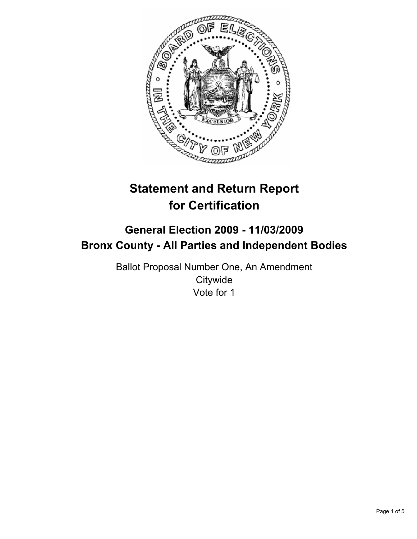

# **Statement and Return Report for Certification**

# **General Election 2009 - 11/03/2009 Bronx County - All Parties and Independent Bodies**

Ballot Proposal Number One, An Amendment **Citywide** Vote for 1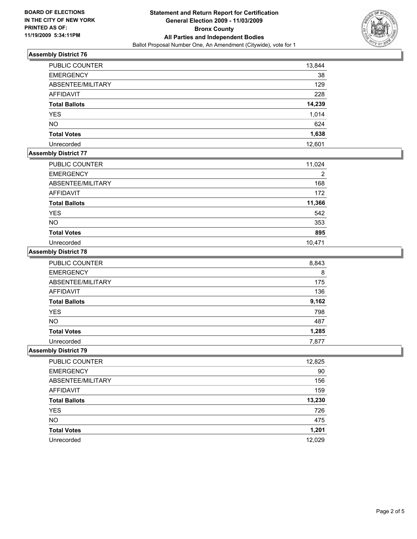

### **Assembly District 76**

| <b>PUBLIC COUNTER</b> | 13,844 |
|-----------------------|--------|
| <b>EMERGENCY</b>      | 38     |
| ABSENTEE/MILITARY     | 129    |
| <b>AFFIDAVIT</b>      | 228    |
| <b>Total Ballots</b>  | 14,239 |
| <b>YES</b>            | 1,014  |
| <b>NO</b>             | 624    |
| <b>Total Votes</b>    | 1,638  |
| Unrecorded            | 12.601 |

## **Assembly District 77**

| PUBLIC COUNTER       | 11,024 |
|----------------------|--------|
| <b>EMERGENCY</b>     | 2      |
| ABSENTEE/MILITARY    | 168    |
| <b>AFFIDAVIT</b>     | 172    |
| <b>Total Ballots</b> | 11,366 |
| <b>YES</b>           | 542    |
| <b>NO</b>            | 353    |
| <b>Total Votes</b>   | 895    |
| Unrecorded           | 10.471 |

#### **Assembly District 78**

| PUBLIC COUNTER       | 8,843 |
|----------------------|-------|
| <b>EMERGENCY</b>     | 8     |
| ABSENTEE/MILITARY    | 175   |
| <b>AFFIDAVIT</b>     | 136   |
| <b>Total Ballots</b> | 9,162 |
| <b>YES</b>           | 798   |
| <b>NO</b>            | 487   |
| <b>Total Votes</b>   | 1,285 |
| Unrecorded           | 7.877 |

#### **Assembly District 79**

| <b>PUBLIC COUNTER</b> | 12,825 |
|-----------------------|--------|
| <b>EMERGENCY</b>      | 90     |
| ABSENTEE/MILITARY     | 156    |
| AFFIDAVIT             | 159    |
| <b>Total Ballots</b>  | 13,230 |
| <b>YES</b>            | 726    |
| <b>NO</b>             | 475    |
| <b>Total Votes</b>    | 1,201  |
| Unrecorded            | 12,029 |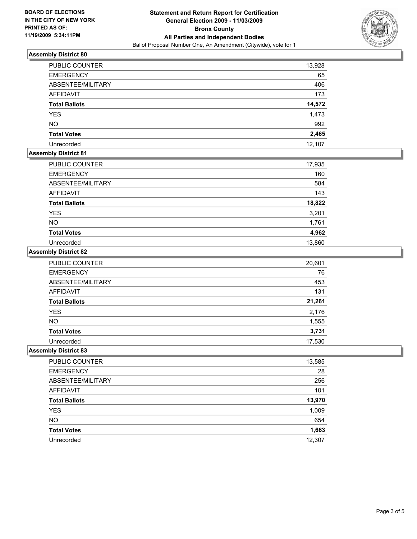

### **Assembly District 80**

| <b>PUBLIC COUNTER</b> | 13,928 |
|-----------------------|--------|
| <b>EMERGENCY</b>      | 65     |
| ABSENTEE/MILITARY     | 406    |
| AFFIDAVIT             | 173    |
| <b>Total Ballots</b>  | 14,572 |
| <b>YES</b>            | 1,473  |
| <b>NO</b>             | 992    |
| <b>Total Votes</b>    | 2,465  |
| Unrecorded            | 12,107 |

### **Assembly District 81**

| PUBLIC COUNTER       | 17,935 |
|----------------------|--------|
| <b>EMERGENCY</b>     | 160    |
| ABSENTEE/MILITARY    | 584    |
| AFFIDAVIT            | 143    |
| <b>Total Ballots</b> | 18,822 |
| <b>YES</b>           | 3,201  |
| <b>NO</b>            | 1,761  |
| <b>Total Votes</b>   | 4,962  |
| Unrecorded           | 13,860 |

### **Assembly District 82**

| PUBLIC COUNTER       | 20,601 |
|----------------------|--------|
| <b>EMERGENCY</b>     | 76     |
| ABSENTEE/MILITARY    | 453    |
| <b>AFFIDAVIT</b>     | 131    |
| <b>Total Ballots</b> | 21,261 |
| <b>YES</b>           | 2,176  |
| <b>NO</b>            | 1,555  |
| <b>Total Votes</b>   | 3,731  |
| Unrecorded           | 17,530 |

### **Assembly District 83**

| PUBLIC COUNTER       | 13,585 |
|----------------------|--------|
| <b>EMERGENCY</b>     | 28     |
| ABSENTEE/MILITARY    | 256    |
| <b>AFFIDAVIT</b>     | 101    |
| <b>Total Ballots</b> | 13,970 |
| <b>YES</b>           | 1,009  |
| <b>NO</b>            | 654    |
| <b>Total Votes</b>   | 1,663  |
| Unrecorded           | 12,307 |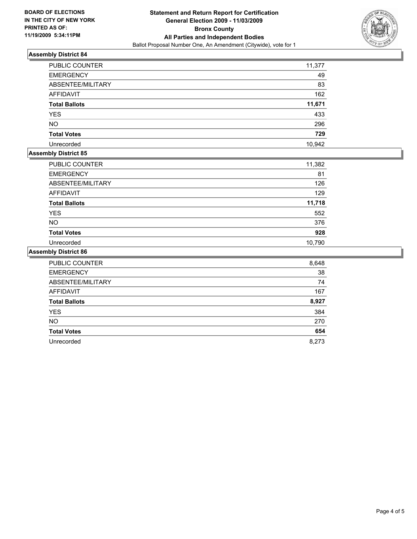

### **Assembly District 84**

| PUBLIC COUNTER       | 11,377 |
|----------------------|--------|
| <b>EMERGENCY</b>     | 49     |
| ABSENTEE/MILITARY    | 83     |
| <b>AFFIDAVIT</b>     | 162    |
| <b>Total Ballots</b> | 11,671 |
| <b>YES</b>           | 433    |
| <b>NO</b>            | 296    |
| <b>Total Votes</b>   | 729    |
| Unrecorded           | 10,942 |

# **Assembly District 85**

| <b>PUBLIC COUNTER</b> | 11,382 |
|-----------------------|--------|
| <b>EMERGENCY</b>      | 81     |
| ABSENTEE/MILITARY     | 126    |
| AFFIDAVIT             | 129    |
| <b>Total Ballots</b>  | 11,718 |
| <b>YES</b>            | 552    |
| <b>NO</b>             | 376    |
| <b>Total Votes</b>    | 928    |
| Unrecorded            | 10.790 |

#### **Assembly District 86**

| <b>PUBLIC COUNTER</b> | 8,648 |
|-----------------------|-------|
| <b>EMERGENCY</b>      | 38    |
| ABSENTEE/MILITARY     | 74    |
| <b>AFFIDAVIT</b>      | 167   |
| <b>Total Ballots</b>  | 8,927 |
| <b>YES</b>            | 384   |
| <b>NO</b>             | 270   |
| <b>Total Votes</b>    | 654   |
| Unrecorded            | 8.273 |